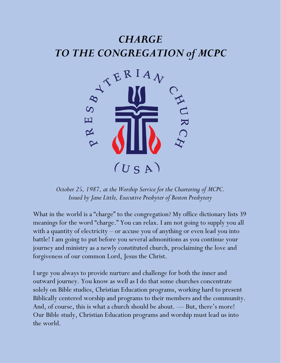## *CHARGE TO THE CONGREGATION of MCPC*



*October 25, 1987, at the Worship Service for the Chartering of MCPC. Issued by Jane Little, Executive Presbyter of Boston Presbytery*

What in the world is a "charge" to the congregation? My office dictionary lists 39 meanings for the word "charge." You can relax. I am not going to supply you all with a quantity of electricity – or accuse you of anything or even lead you into battle! I am going to put before you several admonitions as you continue your journey and ministry as a newly constituted church, proclaiming the love and forgiveness of our common Lord, Jesus the Christ.

I urge you always to provide nurture and challenge for both the inner and outward journey. You know as well as I do that some churches concentrate solely on Bible studies, Christian Education programs, working hard to present Biblically centered worship and programs to their members and the community. And, of course, this is what a church should be about. — But, there's more! Our Bible study, Christian Education programs and worship must lead us into the world.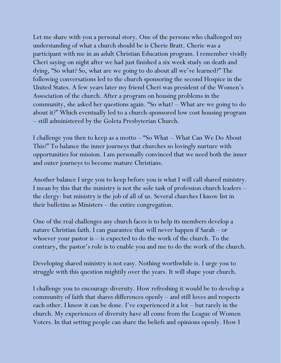Let me share with you a personal story. One of the persons who challenged my understanding of what a church should be is Cherie Bratt. Cherie was a participant with me in an adult Christian Education program. I remember vividly Cheri saying on night after we had just finished a six week study on death and dying, "So what? So, what are we going to do about all we've learned?" The following conversations led to the church sponsoring the second Hospice in the United States. A few years later my friend Cheri was president of the Women's Association of the church. After a program on housing problems in the community, she asked her questions again. "So what? – What are we going to do about it?" Which eventually led to a church-sponsored low cost housing program – still administered by the Goleta Presbyterian Church.

I challenge you then to keep as a motto – "So What – What Can We Do About This?" To balance the inner journeys that churches so lovingly nurture with opportunities for mission. I am personally convinced that we need both the inner and outer journeys to become mature Christians.

Another balance I urge you to keep before you is what I will call shared ministry. I mean by this that the ministry is not the sole task of profession church leaders – the clergy- but ministry is the job of all of us. Several churches I know list in their bulletins as Ministers – the entire congregation.

One of the real challenges any church faces is to help its members develop a nature Christian faith. I can guarantee that will never happen if Sarah – or whoever your pastor is  $-$  is expected to do the work of the church. To the contrary, the pastor's role is to enable you and me to do the work of the church.

Developing shared ministry is not easy. Nothing worthwhile is. I urge you to struggle with this question mightily over the years. It will shape your church.

I challenge you to encourage diversity. How refreshing it would be to develop a community of faith that shares differences openly – and still loves and respects each other. I know it can be done. I've experienced it a lot – but rarely in the church. My experiences of diversity have all come from the League of Women Voters. In that setting people can share the beliefs and opinions openly. How I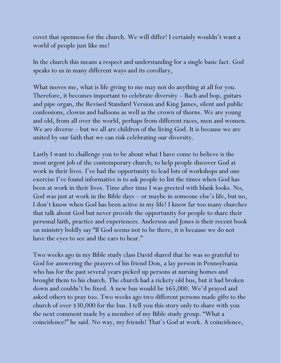covet that openness for the church. We will differ! I certainly wouldn't want a world of people just like me!

In the church this means a respect and understanding for a single basic fact. God speaks to us in many different ways and its corollary,

What moves me, what is life giving to me may not do anything at all for you. Therefore, it becomes important to celebrate diversity – Bach and bop, guitars and pipe organ, the Revised Standard Version and King James, silent and public confessions, clowns and balloons as well as the crown of thorns. We are young and old, from all over the world, perhaps from different races, men and women. We are diverse – but we all are children of the living God. It is because we are united by our faith that we can risk celebrating our diversity.

Lastly I want to challenge you to be about what I have come to believe is the most urgent job of the contemporary church; to help people discover God at work in their lives. I've had the opportunity to lead lots of workshops and one exercise I've found informative is to ask people to list the times when God has been at work in their lives. Time after time I was greeted with blank looks. No, God was just at work in the Bible days – or maybe in someone else's life, but no, I don't know when God has been active in my life! I know far too many churches that talk about God but never provide the opportunity for people to share their personal faith, practice and experiences. Anderson and Jones is their recent book on ministry boldly say "If God seems not to be there, it is because we do not have the eyes to see and the ears to hear."

Two weeks ago in my Bible study class David shared that he was so grateful to God for answering the prayers of his friend Don, a lay person in Pennsylvania who has for the past several years picked up persons at nursing homes and brought them to his church. The church had a rickety old bus, but it had broken down and couldn't be fixed. A new bus would be \$65,000. We'd prayed and asked others to pray too. Two weeks ago two different persons made gifts to the church of over \$30,000 for the bus. I tell you this story only to share with you the next comment made by a member of my Bible study group. "What a coincidence!" he said. No way, my friends! That's God at work. A coincidence,